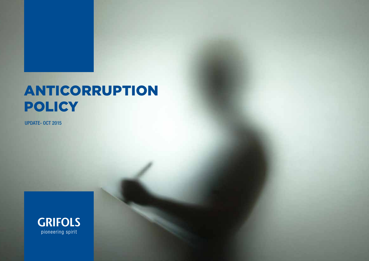# ANTICORRUPTION **POLICY**

UPDATE- OCT 2015

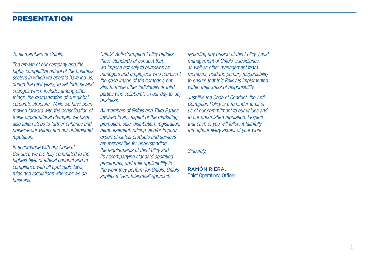### PRESENTATION

#### *To all members of Grifols,*

*The growth of our company and the highly competitive nature of the business sectors in which we operate have led us, during the past years, to set forth several changes which include, among other things, the reorganization of our global corporate structure. While we have been moving forward with the consolidation of these organizational changes, we have also taken steps to further enhance and preserve our values and our untarnished reputation.*

*In accordance with our Code of Conduct, we are fully committed to the highest level of ethical conduct and to compliance with all applicable laws, rules and regulations wherever we do business.*

*Grifols' Anti-Corruption Policy defines these standards of conduct that we impose not only to ourselves as managers and employees who represent the good image of the company, but also to those other individuals or third parties who collaborate in our day-to-day business.*

*All members of Grifols and Third Parties involved in any aspect of the marketing, promotion, sale, distribution, registration, reimbursement, pricing, and/or import/ export of Grifols products and services are responsible for understanding the requirements of this Policy and its accompanying standard operating procedures, and their applicability to the work they perform for Grifols. Grifols applies a "zero tolerance" approach* 

*regarding any breach of this Policy. Local management of Grifols' subsidiaries, as well as other management team members, hold the primary responsibility to ensure that this Policy is implemented within their areas of responsibility.*

*Just like the Code of Conduct, the Anti-Corruption Policy is a reminder to all of us of our commitment to our values and to our untarnished reputation. I expect that each of you will follow it faithfully throughout every aspect of your work.*

*Sincerely,*

RAMÓN RIERA, Chief Operations Officer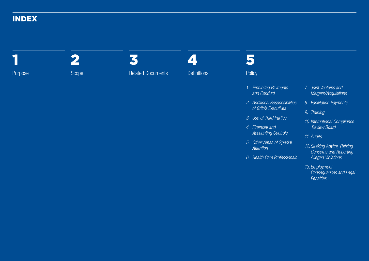### INDEX



3

Related Documents

4 **Definitions** 

# 5

**Policy** 

- *1. Prohibited Payments and Conduct*
- *2. Additional Responsibilities of Grifols Executives*
- *3. Use of Third Parties*
- *4. Financial and Accounting Controls*
- *5. Other Areas of Special Attention*
- *6. Health Care Professionals*

#### *7. Joint Ventures and Mergers/Acquisitions*

- *8. Facilitation Payments*
- *9. Training*
- *10.International Compliance Review Board*
- *11. Audits*
- *12. Seeking Advice, Raising Concerns and Reporting Alleged Violations*
- *13. Employment Consequences and Legal Penalties*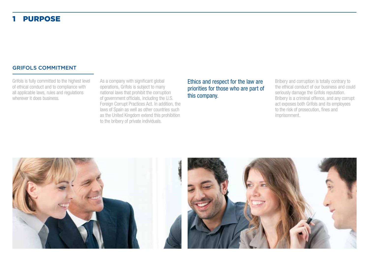### 1 PURPOSE

#### GRIFOLS COMMITMENT

Grifols is fully committed to the highest level of ethical conduct and to compliance with all applicable laws, rules and regulations wherever it does business.

As a company with significant global operations, Grifols is subject to many national laws that prohibit the corruption of government officials, including the U.S. Foreign Corrupt Practices Act. In addition, the laws of Spain as well as other countries such as the United Kingdom extend this prohibition to the bribery of private individuals.

Ethics and respect for the law are priorities for those who are part of this company.

Bribery and corruption is totally contrary to the ethical conduct of our business and could seriously damage the Grifols reputation. Bribery is a criminal offence, and any corrupt act exposes both Grifols and its employees to the risk of prosecution, fines and imprisonment.



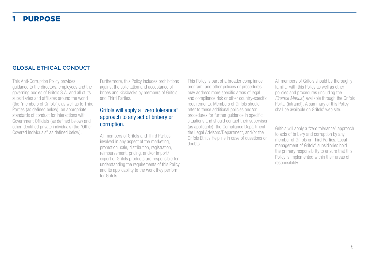### **PURPOSE**

#### GLOBAL ETHICAL CONDUCT

This Anti-Corruption Policy provides guidance to the directors, employees and the governing bodies of Grifols S.A. and all of its subsidiaries and affiliates around the world (the "members of Grifols"), as well as to Third Parties (as defined below), on appropriate standards of conduct for interactions with Government Officials (as defined below) and other identified private individuals (the "Other Covered Individuals" as defined below).

Furthermore, this Policy includes prohibitions against the solicitation and acceptance of bribes and kickbacks by members of Grifols and Third Parties.

### Grifols will apply a "zero tolerance" approach to any act of bribery or corruption.

All members of Grifols and Third Parties involved in any aspect of the marketing, promotion, sale, distribution, registration, reimbursement, pricing, and/or import/ export of Grifols products are responsible for understanding the requirements of this Policy and its applicability to the work they perform for Grifols.

This Policy is part of a broader compliance program, and other policies or procedures may address more specific areas of legal and compliance risk or other country-specific requirements. Members of Grifols should refer to these additional policies and/or procedures for further guidance in specific situations and should contact their supervisor (as applicable), the Compliance Department, the Legal Advisors/Department, and/or the Grifols Ethics Helpline in case of questions or doubts.

All members of Grifols should be thoroughly familiar with this Policy as well as other policies and procedures (including the *Finance Manual*) available through the Grifols Portal (intranet). A summary of this Policy shall be available on Grifols' web site.

Grifols will apply a "zero tolerance" approach to acts of bribery and corruption by any member of Grifols or Third Parties. Local management of Grifols' subsidiaries hold the primary responsibility to ensure that this Policy is implemented within their areas of responsibility.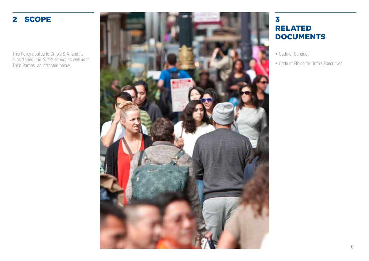This Policy applies to Grifols S.A. and its subsidiaries (the *Grifols Group*) as well as to Third Parties, as indicated below.



## RELATED DOCUMENTS

- Code of Conduct
- Code of Ethics for Grifols Executives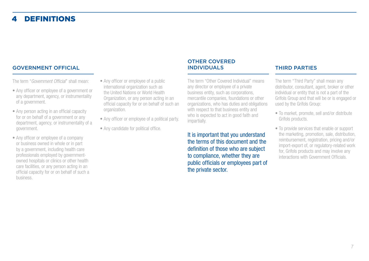## **DEFINITIONS**

#### GOVERNMENT OFFICIAL

The term "*Government Official*" shall mean:

- Any officer or employee of a government or any department, agency, or instrumentality of a government.
- Any person acting in an official capacity for or on behalf of a government or any department, agency, or instrumentality of a government.
- Any officer or employee of a company or business owned in whole or in part by a government, including health care professionals employed by governmentowned hospitals or clinics or other health care facilities, or any person acting in an official capacity for or on behalf of such a business.
- Any officer or employee of a public international organization such as the United Nations or World Health Organization, or any person acting in an official capacity for or on behalf of such an organization.
- Any officer or employee of a political party.
- Any candidate for political office.

#### OTHER COVERED INDIVIDUALS THIRD PARTIES

The term "Other Covered Individual" means any director or employee of a private business entity, such as corporations, mercantile companies, foundations or other organizations, who has duties and obligations with respect to that business entity and who is expected to act in good faith and impartially.

It is important that you understand the terms of this document and the definition of those who are subject to compliance, whether they are public officials or employees part of the private sector.

The term "Third Party" shall mean any distributor, consultant, agent, broker or other individual or entity that is not a part of the Grifols Group and that will be or is engaged or used by the Grifols Group:

- To market, promote, sell and/or distribute Grifols products.
- To provide services that enable or support the marketing, promotion, sale, distribution, reimbursement, registration, pricing and/or import-export of, or regulatory-related work for, Grifols products and may involve any interactions with Government Officials.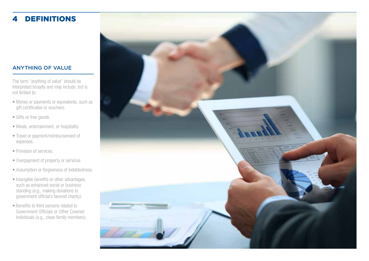## 4 DEFINITIONS

#### ANYTHING OF VALUE

The term "anything of value" should be interpreted broadly and may include, but is not limited to:

- Money or payments or equivalents, such as gift certificates or vouchers.
- Gifts or free goods.
- Meals, entertainment, or hospitality.
- Travel or payment/reimbursement of expenses.
- Provision of services.
- 
- Overpayment of property or services. Assumption or forgiveness of indebtedness.
- Intangible benefits or other advantages, such as enhanced social or business standing (e.g., making donations to government official's favored charity).
- Benefits to third persons related to Government Officials or Other Covered Individuals (e.g., close family members).

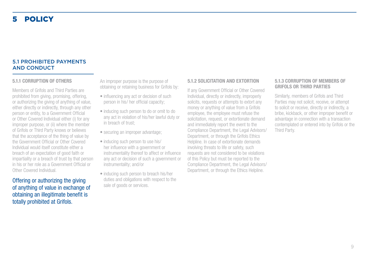#### 5.1 PROHIBITED PAYMENTS AND CONDUCT

#### **5.1.1 CORRUPTION OF OTHERS**

Members of Grifols and Third Parties are prohibited from giving, promising, offering, or authorizing the giving of anything of value, either directly or indirectly, through any other person or entity, to a Government Official or Other Covered Individual either (i) for any improper purpose, or (ii) where the member of Grifols or Third Party knows or believes that the acceptance of the thing of value by the Government Official or Other Covered Individual would itself constitute either a breach of an expectation of good faith or impartiality or a breach of trust by that person in his or her role as a Government Official or Other Covered Individual.

Offering or authorizing the giving of anything of value in exchange of obtaining an illegitimate benefit is totally prohibited at Grifols.

An improper purpose is the purpose of obtaining or retaining business for Grifols by:

- influencing any act or decision of such person in his/ her official capacity;
- inducing such person to do or omit to do any act in violation of his/her lawful duty or in breach of trust;
- securing an improper advantage;
- inducing such person to use his/ her influence with a government or instrumentality thereof to affect or influence any act or decision of such a government or instrumentality; and/or
- inducing such person to breach his/her duties and obligations with respect to the sale of goods or services.

#### **5.1.2 SOLICITATION AND EXTORTION**

If any Government Official or Other Covered Individual, directly or indirectly, improperly solicits, requests or attempts to extort any money or anything of value from a Grifols employee, the employee must refuse the solicitation, request, or extortionate demand and immediately report the event to the Compliance Department, the Legal Advisors/ Department, or through the Grifols Ethics Helpline. In case of extortionate demands involving threats to life or safety, such requests are not considered to be violations of this Policy but must be reported to the Compliance Department, the Legal Advisors/ Department, or through the Ethics Helpline.

#### **5.1.3 CORRUPTION OF MEMBERS OF GRIFOLS OR THIRD PARTIES**

Similarly, members of Grifols and Third Parties may not solicit, receive, or attempt to solicit or receive, directly or indirectly, a bribe, kickback, or other improper benefit or advantage in connection with a transaction contemplated or entered into by Grifols or the Third Party.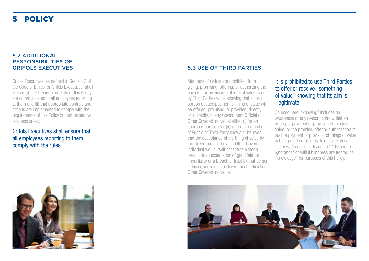#### 5.2 ADDITIONAL RESPONSIBILITIES OF GRIFOLS EXECUTIVES

Grifols Executives, as defined in Section 2 of the Code of Ethics for Grifols Executives, shall ensure (i) that the requirements of this Policy are communicated to all employees reporting to them and (ii) that appropriate controls and actions are implemented to comply with the requirements of this Policy in their respective business areas.

Grifols Executives shall ensure that all employees reporting to them comply with the rules.



#### 5.3 USE OF THIRD PARTIES

Members of Grifols are prohibited from giving, promising, offering, or authorizing the payment or provision of things of value to or by Third Parties while knowing that all or a portion of such payment or thing of value will be offered, promised, or provided, directly or indirectly, to any Government Official or Other Covered Individual either (i) for an improper purpose, or (ii) where the member of Grifols or Third Party knows or believes that the acceptance of the thing of value by the Government Official or Other Covered Individual would itself constitute either a breach of an expectation of good faith or impartiality or a breach of trust by that person in his or her role as a Government Official or Other Covered Individual.

#### It is prohibited to use Third Parties to offer or receive "something of value" knowing that its aim is illegitimate.

As used here, "knowing" includes an awareness or any reason to know that an improper payment or provision of things of value, or the promise, offer or authorization of such a payment or provision of things of value is being made or is likely to occur. Refusal to know, "conscious disregard," "deliberate ignorance" or willful blindness are treated as "knowledge" for purposes of this Policy.

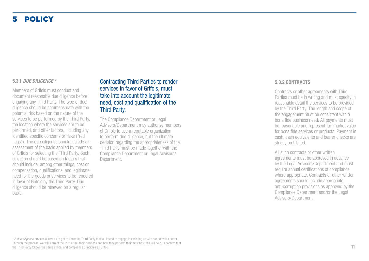#### **5.3.1** *DUE DILIGENCE \**

Members of Grifols must conduct and document reasonable due diligence before engaging any Third Party. The type of due diligence should be commensurate with the potential risk based on the nature of the services to be performed by the Third Party, the location where the services are to be performed, and other factors, including any identified specific concerns or risks ("red flags"). The due diligence should include an assessment of the basis applied by members of Grifols for selecting the Third Party. Such selection should be based on factors that should include, among other things, cost or compensation, qualifications, and legitimate need for the goods or services to be rendered in favor of Grifols by the Third Party. Due diligence should be renewed on a regular basis.

Contracting Third Parties to render services in favor of Grifols, must take into account the legitimate need, cost and qualification of the Third Party.

The Compliance Department or Legal Advisors/Department may authorize members of Grifols to use a reputable organization to perform due diligence, but the ultimate decision regarding the appropriateness of the Third Party must be made together with the Compliance Department or Legal Advisors/ Department.

#### **5.3.2 CONTRACTS**

Contracts or other agreements with Third Parties must be in writing and must specify in reasonable detail the services to be provided by the Third Party. The length and scope of the engagement must be consistent with a bona fide business need. All payments must be reasonable and represent fair market value for bona fide services or products. Payment in cash, cash equivalents and bearer checks are strictly prohibited.

All such contracts or other written agreements must be approved in advance by the Legal Advisors/Department and must require annual certifications of compliance, where appropriate. Contracts or other written agreements should include appropriate anti-corruption provisions as approved by the Compliance Department and/or the Legal Advisors/Department.

\* A *due diligence* process allows us to get to know the Third Party that we intend to engage in assisting us with our activities better. Through the process, we will learn of their structure, their business and how they perform their activities; this will help us confirm that the Third Party follows the same ethical and compliance principles as Grifols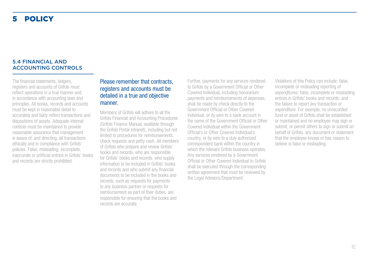#### 5.4 FINANCIAL AND ACCOUNTING CONTROLS

The financial statements, ledgers, registers and accounts of Grifols must reflect operations in a true manner and in accordance with accounting laws and principles. All books, records and accounts must be kept in reasonable detail to accurately and fairly reflect transactions and dispositions of assets. Adequate internal controls must be maintained to provide reasonable assurance that management is aware of, and directing, all transactions ethically and in compliance with Grifols' policies. False, misleading, incomplete, inaccurate or artificial entries in Grifols' books and records are strictly prohibited.

#### Please remember that contracts, registers and accounts must be detailed in a true and objective manner.

Members of Grifols will adhere to all the Grifols Financial and Accounting Procedures (Grifols Finance Manual, available through the Grifols Portal intranet), including but not limited to procedures for reimbursements, check requests and petty cash. All members of Grifols who prepare and review Grifols' books and records, who are responsible for Grifols' books and records, who supply information to be included in Grifols' books and records and who submit any financial documents to be included in the books and records, such as requests for payments to any business partner or requests for reimbursement as part of their duties, are responsible for ensuring that the books and records are accurate.

Further, payments for any services rendered to Grifols by a Government Official or Other Covered Individual, including honorarium payments and reimbursements of expenses, shall be made by check directly to the Government Official or Other Covered Individual, or by wire to a bank account in the name of the Government Official or Other Covered Individual within the Government Official's or Other Covered Individual's country, or by wire to a duly authorized correspondent bank within the country in which the relevant Grifols business operates. Any services rendered by a Government Official or Other Covered Individual to Grifols shall be executed through the corresponding written agreement that must be reviewed by the Legal Advisors/Department.

Violations of this Policy can include: false, incomplete or misleading reporting of expenditures; false, incomplete or misleading entries in Grifols' books and records; and the failure to report any transaction or expenditure. For example, no unrecorded fund or asset of Grifols shall be established or maintained and no employee may sign or submit, or permit others to sign or submit on behalf of Grifols, any document or statement that the employee knows or has reason to believe is false or misleading.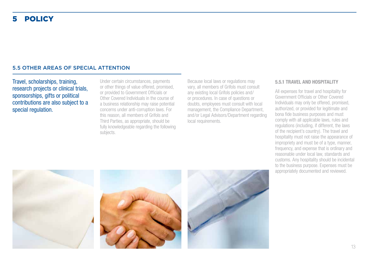#### 5.5 OTHER AREAS OF SPECIAL ATTENTION

Travel, scholarships, training, research projects or clinical trials, sponsorships, gifts or political contributions are also subject to a special regulation.

Under certain circumstances, payments or other things of value offered, promised, or provided to Government Officials or Other Covered Individuals in the course of a business relationship may raise potential concerns under anti-corruption laws. For this reason, all members of Grifols and Third Parties, as appropriate, should be fully knowledgeable regarding the following subjects.

Because local laws or regulations may vary, all members of Grifols must consult any existing local Grifols policies and/ or procedures. In case of questions or doubts, employees must consult with local management, the Compliance Department, and/or Legal Advisors/Department regarding local requirements.

#### **5.5.1 TRAVEL AND HOSPITALITY**

All expenses for travel and hospitality for Government Officials or Other Covered Individuals may only be offered, promised, authorized, or provided for legitimate and bona fide business purposes and must comply with all applicable laws, rules and regulations (including, if different, the laws of the recipient's country). The travel and hospitality must not raise the appearance of impropriety and must be of a type, manner, frequency, and expense that is ordinary and reasonable under local law, standards and customs. Any hospitality should be incidental to the business purpose. Expenses must be appropriately documented and reviewed.





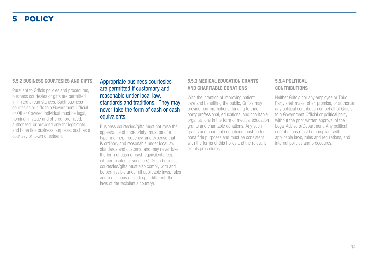#### **5.5.2 BUSINESS COURTESIES AND GIFTS**

Pursuant to Grifols policies and procedures, business courtesies or gifts are permitted in limited circumstances. Such business courtesies or gifts to a Government Official or Other Covered Individual must be legal, nominal in value and offered, promised, authorized, or provided only for legitimate and bona fide business purposes, such as a courtesy or token of esteem.

#### Appropriate business courtesies are permitted if customary and reasonable under local law, standards and traditions. They may never take the form of cash or cash equivalents.

Business courtesies/gifts must not raise the appearance of impropriety; must be of a type, manner, frequency, and expense that is ordinary and reasonable under local law, standards and customs; and may never take the form of cash or cash equivalents (e.g., gift certificates or vouchers). Such business courtesies/gifts must also comply with and be permissible under all applicable laws, rules and regulations (including, if different, the laws of the recipient's country).

#### **5.5.3 MEDICAL EDUCATION GRANTS AND CHARITABLE DONATIONS**

With the intention of improving patient care and benefiting the public, Grifols may provide non-promotional funding to third party professional, educational and charitable organizations in the form of medical education grants and charitable donations. Any such grants and charitable donations must be for bona fide purposes and must be consistent with the terms of this Policy and the relevant Grifols procedures.

#### **5.5.4 POLITICAL CONTRIBUTIONS**

Neither Grifols nor any employee or Third Party shall make, offer, promise, or authorize any political contribution on behalf of Grifols to a Government Official or political party without the prior written approval of the Legal Advisors/Department. Any political contributions must be compliant with applicable laws, rules and regulations, and internal policies and procedures.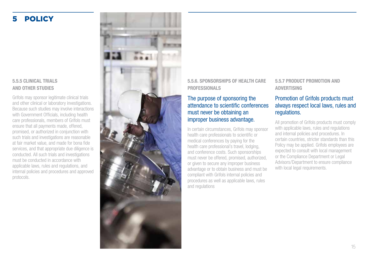#### **5.5.5 CLINICAL TRIALS AND OTHER STUDIES**

Grifols may sponsor legitimate clinical trials and other clinical or laboratory investigations. Because such studies may involve interactions with Government Officials, including health care professionals, members of Grifols must ensure that all payments made, offered, promised, or authorized in conjunction with such trials and investigations are reasonable at fair market value, and made for bona fide services, and that appropriate due diligence is conducted. All such trials and investigations must be conducted in accordance with applicable laws, rules and regulations, and internal policies and procedures and approved protocols.



**5.5.6. SPONSORSHIPS OF HEALTH CARE PROFESSIONALS** 

#### The purpose of sponsoring the attendance to scientific conferences must never be obtaining an improper business advantage.

In certain circumstances, Grifols may sponsor health care professionals to scientific or medical conferences by paying for the health care professional's travel, lodging, and conference costs. Such sponsorships must never be offered, promised, authorized, or given to secure any improper business advantage or to obtain business and must be compliant with Grifols internal policies and procedures as well as applicable laws, rules and regulations

**5.5.7 PRODUCT PROMOTION AND ADVERTISING**

### Promotion of Grifols products must always respect local laws, rules and regulations.

All promotion of Grifols products must comply with applicable laws, rules and regulations and internal policies and procedures. In certain countries, stricter standards than this Policy may be applied. Grifols employees are expected to consult with local management or the Compliance Department or Legal Advisors/Department to ensure compliance with local legal requirements.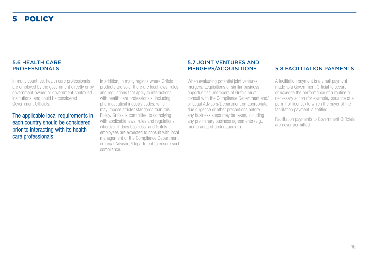#### 5.6 HEALTH CARE PROFESSIONALS

In many countries, health care professionals are employed by the government directly or by government-owned or government-controlled institutions, and could be considered Government Officials.

The applicable local requirements in each country should be considered prior to interacting with its health care professionals.

In addition, in many regions where Grifols products are sold, there are local laws, rules and regulations that apply to interactions with health care professionals, including pharmaceutical industry codes, which may impose stricter standards than this Policy. Grifols is committed to complying with applicable laws, rules and regulations wherever it does business, and Grifols employees are expected to consult with local management or the Compliance Department or Legal Advisors/Department to ensure such compliance.

## 5.7 JOINT VENTURES AND

When evaluating potential joint ventures, mergers, acquisitions or similar business opportunities, members of Grifols must consult with the Compliance Department and/ or Legal Advisors/Department on appropriate due diligence or other precautions before any business steps may be taken, including any preliminary business agreements (e.g., memoranda of understanding).

#### **5.8 FACILITATION PAYMENTS**

A facilitation payment is a small payment made to a Government Official to secure or expedite the performance of a routine or necessary action (for example, issuance of a permit or license) to which the payer of the facilitation payment is entitled.

Facilitation payments to Government Officials are never permitted.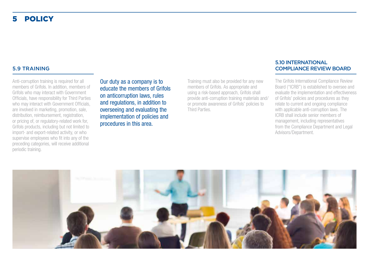#### 5.9 TRAINING

Anti-corruption training is required for all members of Grifols. In addition, members of Grifols who may interact with Government Officials, have responsibility for Third Parties who may interact with Government Officials, are involved in marketing, promotion, sale, distribution, reimbursement, registration, or pricing of, or regulatory-related work for, Grifols products, including but not limited to import- and export-related activity, or who supervise employees who fit into any of the preceding categories, will receive additional periodic training.

Our duty as a company is to educate the members of Grifols on anticorruption laws, rules and regulations, in addition to overseeing and evaluating the implementation of policies and procedures in this area.

Training must also be provided for any new members of Grifols. As appropriate and using a risk-based approach, Grifols shall provide anti-corruption training materials and/ or promote awareness of Grifols' policies to Third Parties.

#### 5.10 INTERNATIONAL COMPLIANCE REVIEW BOARD

The Grifols International Compliance Review Board ("ICRB") is established to oversee and evaluate the implementation and effectiveness of Grifols' policies and procedures as they relate to current and ongoing compliance with applicable anti-corruption laws. The ICRB shall include senior members of management, including representatives from the Compliance Department and Legal Advisors/Department.

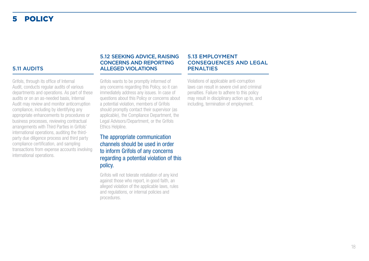#### 5.11 AUDITS

Grifols, through its office of Internal Audit, conducts regular audits of various departments and operations. As part of these audits or on an as-needed basis, Internal Audit may review and monitor anticorruption compliance, including by identifying any appropriate enhancements to procedures or business processes, reviewing contractual arrangements with Third Parties in Grifols' international operations, auditing the thirdparty due diligence process and third party compliance certification, and sampling transactions from expense accounts involving international operations.

#### 5.12 SEEKING ADVICE, RAISING CONCERNS AND REPORTING ALLEGED VIOLATIONS

#### 5.13 EMPLOYMENT CONSEQUENCES AND LEGAL **PENALTIES**

Grifols wants to be promptly informed of any concerns regarding this Policy, so it can immediately address any issues. In case of questions about this Policy or concerns about a potential violation, members of Grifols should promptly contact their supervisor (as applicable), the Compliance Department, the Legal Advisors/Department, or the Grifols Ethics Helpline.

The appropriate communication channels should be used in order to inform Grifols of any concerns regarding a potential violation of this policy.

Grifols will not tolerate retaliation of any kind against those who report, in good faith, an alleged violation of the applicable laws, rules and regulations, or internal policies and procedures.

Violations of applicable anti-corruption laws can result in severe civil and criminal penalties. Failure to adhere to this policy may result in disciplinary action up to, and including, termination of employment.